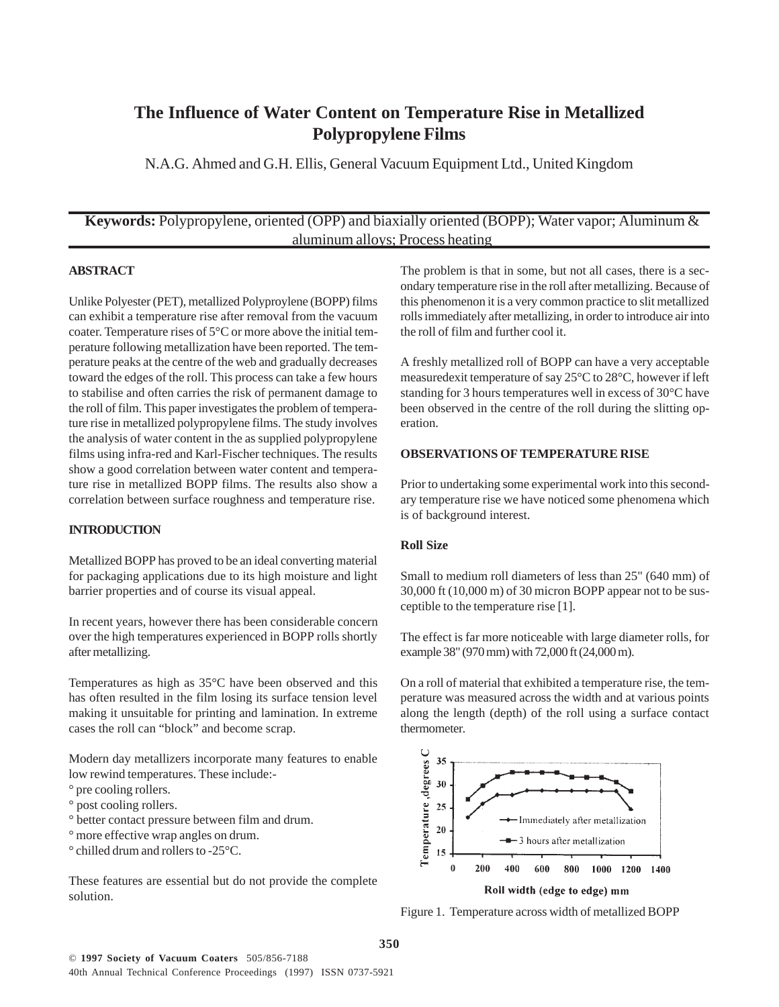# **The Influence of Water Content on Temperature Rise in Metallized Polypropylene Films**

N.A.G. Ahmed and G.H. Ellis, General Vacuum Equipment Ltd., United Kingdom

# **Keywords:** Polypropylene, oriented (OPP) and biaxially oriented (BOPP); Water vapor; Aluminum & aluminum alloys; Process heating

#### **ABSTRACT**

Unlike Polyester (PET), metallized Polyproylene (BOPP) films can exhibit a temperature rise after removal from the vacuum coater. Temperature rises of 5°C or more above the initial temperature following metallization have been reported. The temperature peaks at the centre of the web and gradually decreases toward the edges of the roll. This process can take a few hours to stabilise and often carries the risk of permanent damage to the roll of film. This paper investigates the problem of temperature rise in metallized polypropylene films. The study involves the analysis of water content in the as supplied polypropylene films using infra-red and Karl-Fischer techniques. The results show a good correlation between water content and temperature rise in metallized BOPP films. The results also show a correlation between surface roughness and temperature rise.

#### **INTRODUCTION**

Metallized BOPP has proved to be an ideal converting material for packaging applications due to its high moisture and light barrier properties and of course its visual appeal.

In recent years, however there has been considerable concern over the high temperatures experienced in BOPP rolls shortly after metallizing.

Temperatures as high as 35°C have been observed and this has often resulted in the film losing its surface tension level making it unsuitable for printing and lamination. In extreme cases the roll can "block" and become scrap.

Modern day metallizers incorporate many features to enable low rewind temperatures. These include:-

- ° pre cooling rollers.
- <sup>o</sup> post cooling rollers.
- ° better contact pressure between film and drum.
- ° more effective wrap angles on drum.
- ° chilled drum and rollers to -25°C.

These features are essential but do not provide the complete solution.

The problem is that in some, but not all cases, there is a secondary temperature rise in the roll after metallizing. Because of this phenomenon it is a very common practice to slit metallized rolls immediately after metallizing, in order to introduce air into the roll of film and further cool it.

A freshly metallized roll of BOPP can have a very acceptable measuredexit temperature of say 25°C to 28°C, however if left standing for 3 hours temperatures well in excess of 30°C have been observed in the centre of the roll during the slitting operation.

#### **OBSERVATIONS OF TEMPERATURE RISE**

Prior to undertaking some experimental work into this secondary temperature rise we have noticed some phenomena which is of background interest.

## **Roll Size**

Small to medium roll diameters of less than 25" (640 mm) of 30,000 ft (10,000 m) of 30 micron BOPP appear not to be susceptible to the temperature rise [1].

The effect is far more noticeable with large diameter rolls, for example 38" (970 mm) with 72,000 ft (24,000 m).

On a roll of material that exhibited a temperature rise, the temperature was measured across the width and at various points along the length (depth) of the roll using a surface contact thermometer.



Figure 1. Temperature across width of metallized BOPP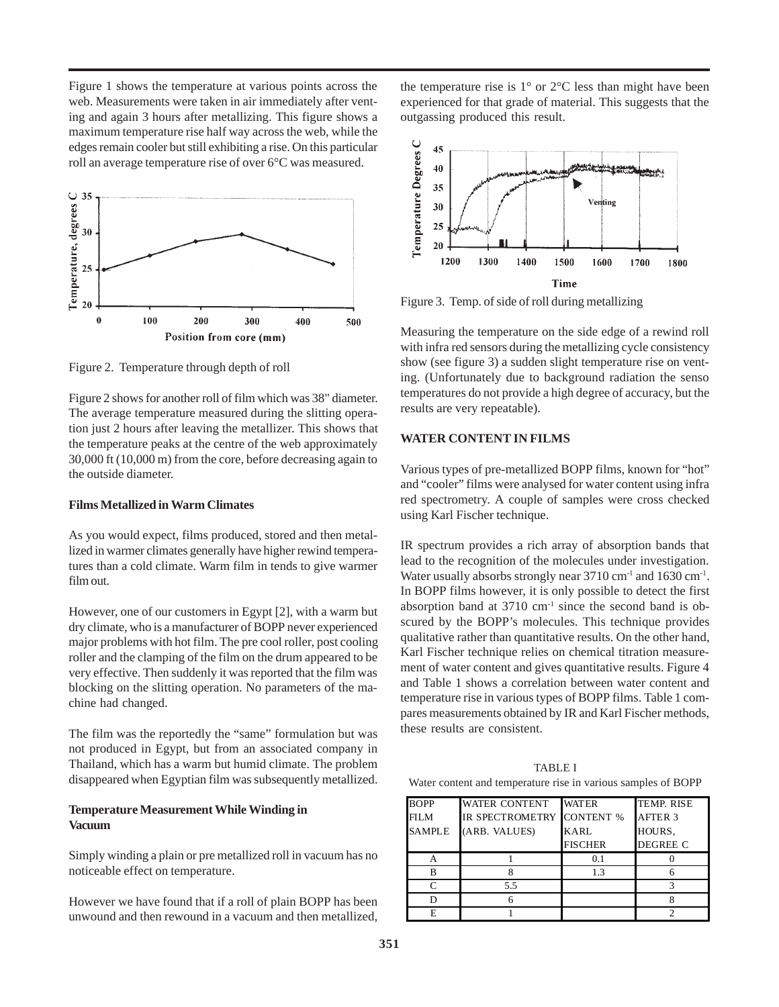Figure 1 shows the temperature at various points across the web. Measurements were taken in air immediately after venting and again 3 hours after metallizing. This figure shows a maximum temperature rise half way across the web, while the edges remain cooler but still exhibiting a rise. On this particular roll an average temperature rise of over 6°C was measured.



Figure 2. Temperature through depth of roll

Figure 2 shows for another roll of film which was 38" diameter. The average temperature measured during the slitting operation just 2 hours after leaving the metallizer. This shows that the temperature peaks at the centre of the web approximately 30,000 ft (10,000 m) from the core, before decreasing again to the outside diameter.

## **Films Metallized in Warm Climates**

As you would expect, films produced, stored and then metallized in warmer climates generally have higher rewind temperatures than a cold climate. Warm film in tends to give warmer film out.

However, one of our customers in Egypt [2], with a warm but dry climate, who is a manufacturer of BOPP never experienced major problems with hot film. The pre cool roller, post cooling roller and the clamping of the film on the drum appeared to be very effective. Then suddenly it was reported that the film was blocking on the slitting operation. No parameters of the machine had changed.

The film was the reportedly the "same" formulation but was not produced in Egypt, but from an associated company in Thailand, which has a warm but humid climate. The problem disappeared when Egyptian film was subsequently metallized.

## **Temperature Measurement While Winding in Vacuum**

Simply winding a plain or pre metallized roll in vacuum has no noticeable effect on temperature.

However we have found that if a roll of plain BOPP has been unwound and then rewound in a vacuum and then metallized, the temperature rise is  $1^{\circ}$  or  $2^{\circ}$ C less than might have been experienced for that grade of material. This suggests that the outgassing produced this result.



Figure 3. Temp. of side of roll during metallizing

Measuring the temperature on the side edge of a rewind roll with infra red sensors during the metallizing cycle consistency show (see figure 3) a sudden slight temperature rise on venting. (Unfortunately due to background radiation the senso temperatures do not provide a high degree of accuracy, but the results are very repeatable).

#### **WATER CONTENT IN FILMS**

Various types of pre-metallized BOPP films, known for "hot" and "cooler" films were analysed for water content using infra red spectrometry. A couple of samples were cross checked using Karl Fischer technique.

IR spectrum provides a rich array of absorption bands that lead to the recognition of the molecules under investigation. Water usually absorbs strongly near 3710 cm<sup>-1</sup> and 1630 cm<sup>-1</sup>. In BOPP films however, it is only possible to detect the first absorption band at  $3710 \text{ cm}^{-1}$  since the second band is obscured by the BOPP's molecules. This technique provides qualitative rather than quantitative results. On the other hand, Karl Fischer technique relies on chemical titration measurement of water content and gives quantitative results. Figure 4 and Table 1 shows a correlation between water content and temperature rise in various types of BOPP films. Table 1 compares measurements obtained by IR and Karl Fischer methods, these results are consistent.

TABLE I Water content and temperature rise in various samples of BOPP

| <b>BOPP</b>   | <b>WATER CONTENT</b>      | <b>WATER</b>   | TEMP. RISE      |
|---------------|---------------------------|----------------|-----------------|
| <b>FILM</b>   | IR SPECTROMETRY CONTENT % |                | AFTER 3         |
| <b>SAMPLE</b> | (ARB. VALUES)             | <b>KARL</b>    | HOURS.          |
|               |                           | <b>FISCHER</b> | <b>DEGREE C</b> |
|               |                           | 0.1            |                 |
|               |                           | 1 <sup>3</sup> |                 |
|               | 5.5                       |                |                 |
|               |                           |                |                 |
|               |                           |                |                 |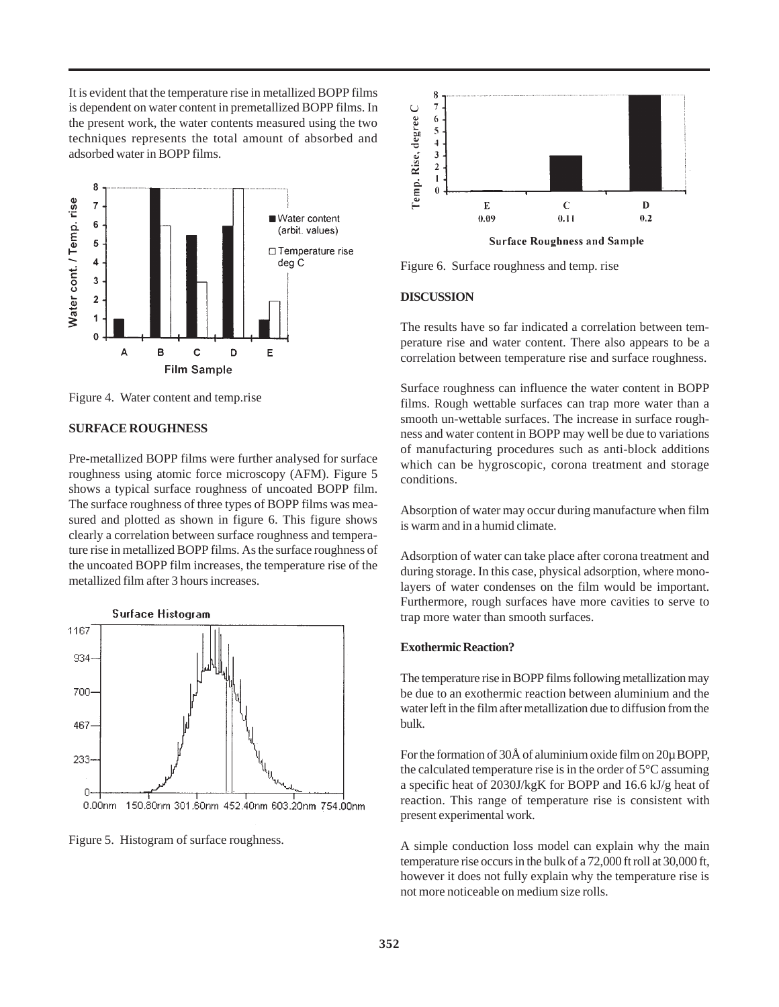It is evident that the temperature rise in metallized BOPP films is dependent on water content in premetallized BOPP films. In the present work, the water contents measured using the two techniques represents the total amount of absorbed and adsorbed water in BOPP films.



Figure 4. Water content and temp.rise

## **SURFACE ROUGHNESS**

Pre-metallized BOPP films were further analysed for surface roughness using atomic force microscopy (AFM). Figure 5 shows a typical surface roughness of uncoated BOPP film. The surface roughness of three types of BOPP films was measured and plotted as shown in figure 6. This figure shows clearly a correlation between surface roughness and temperature rise in metallized BOPP films. As the surface roughness of the uncoated BOPP film increases, the temperature rise of the metallized film after 3 hours increases.





Figure 5. Histogram of surface roughness.



Figure 6. Surface roughness and temp. rise

## **DISCUSSION**

The results have so far indicated a correlation between temperature rise and water content. There also appears to be a correlation between temperature rise and surface roughness.

Surface roughness can influence the water content in BOPP films. Rough wettable surfaces can trap more water than a smooth un-wettable surfaces. The increase in surface roughness and water content in BOPP may well be due to variations of manufacturing procedures such as anti-block additions which can be hygroscopic, corona treatment and storage conditions.

Absorption of water may occur during manufacture when film is warm and in a humid climate.

Adsorption of water can take place after corona treatment and during storage. In this case, physical adsorption, where monolayers of water condenses on the film would be important. Furthermore, rough surfaces have more cavities to serve to trap more water than smooth surfaces.

#### **Exothermic Reaction?**

The temperature rise in BOPP films following metallization may be due to an exothermic reaction between aluminium and the water left in the film after metallization due to diffusion from the bulk.

For the formation of 30Å of aluminium oxide film on 20µ BOPP, the calculated temperature rise is in the order of 5°C assuming a specific heat of 2030J/kgK for BOPP and 16.6 kJ/g heat of reaction. This range of temperature rise is consistent with present experimental work.

A simple conduction loss model can explain why the main temperature rise occurs in the bulk of a 72,000 ft roll at 30,000 ft, however it does not fully explain why the temperature rise is not more noticeable on medium size rolls.